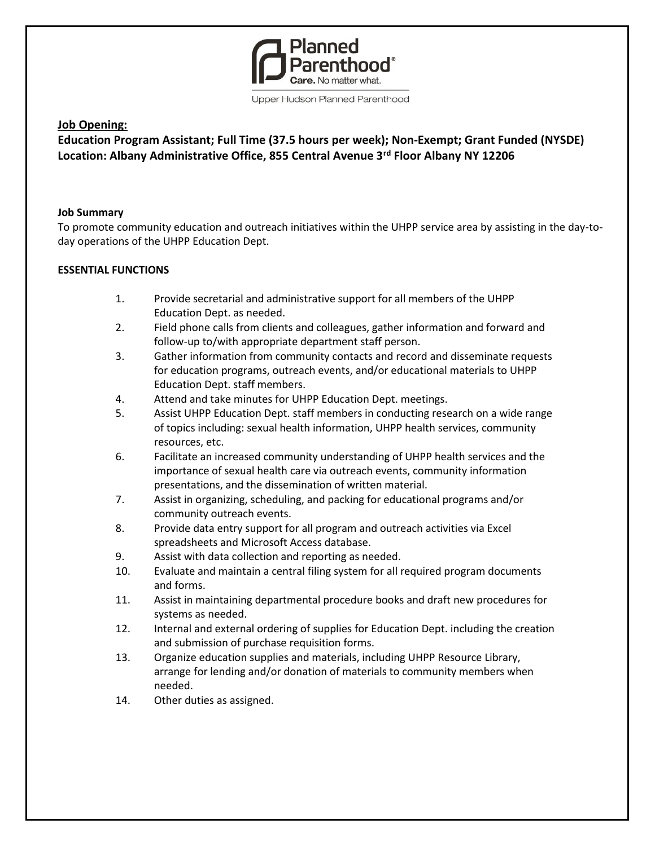

Upper Hudson Planned Parenthood

# **Job Opening:**

**Education Program Assistant; Full Time (37.5 hours per week); Non-Exempt; Grant Funded (NYSDE) Location: Albany Administrative Office, 855 Central Avenue 3rd Floor Albany NY 12206**

### **Job Summary**

To promote community education and outreach initiatives within the UHPP service area by assisting in the day-today operations of the UHPP Education Dept.

## **ESSENTIAL FUNCTIONS**

- 1. Provide secretarial and administrative support for all members of the UHPP Education Dept. as needed.
- 2. Field phone calls from clients and colleagues, gather information and forward and follow-up to/with appropriate department staff person.
- 3. Gather information from community contacts and record and disseminate requests for education programs, outreach events, and/or educational materials to UHPP Education Dept. staff members.
- 4. Attend and take minutes for UHPP Education Dept. meetings.
- 5. Assist UHPP Education Dept. staff members in conducting research on a wide range of topics including: sexual health information, UHPP health services, community resources, etc.
- 6. Facilitate an increased community understanding of UHPP health services and the importance of sexual health care via outreach events, community information presentations, and the dissemination of written material.
- 7. Assist in organizing, scheduling, and packing for educational programs and/or community outreach events.
- 8. Provide data entry support for all program and outreach activities via Excel spreadsheets and Microsoft Access database.
- 9. Assist with data collection and reporting as needed.
- 10. Evaluate and maintain a central filing system for all required program documents and forms.
- 11. Assist in maintaining departmental procedure books and draft new procedures for systems as needed.
- 12. Internal and external ordering of supplies for Education Dept. including the creation and submission of purchase requisition forms.
- 13. Organize education supplies and materials, including UHPP Resource Library, arrange for lending and/or donation of materials to community members when needed.
- 14. Other duties as assigned.